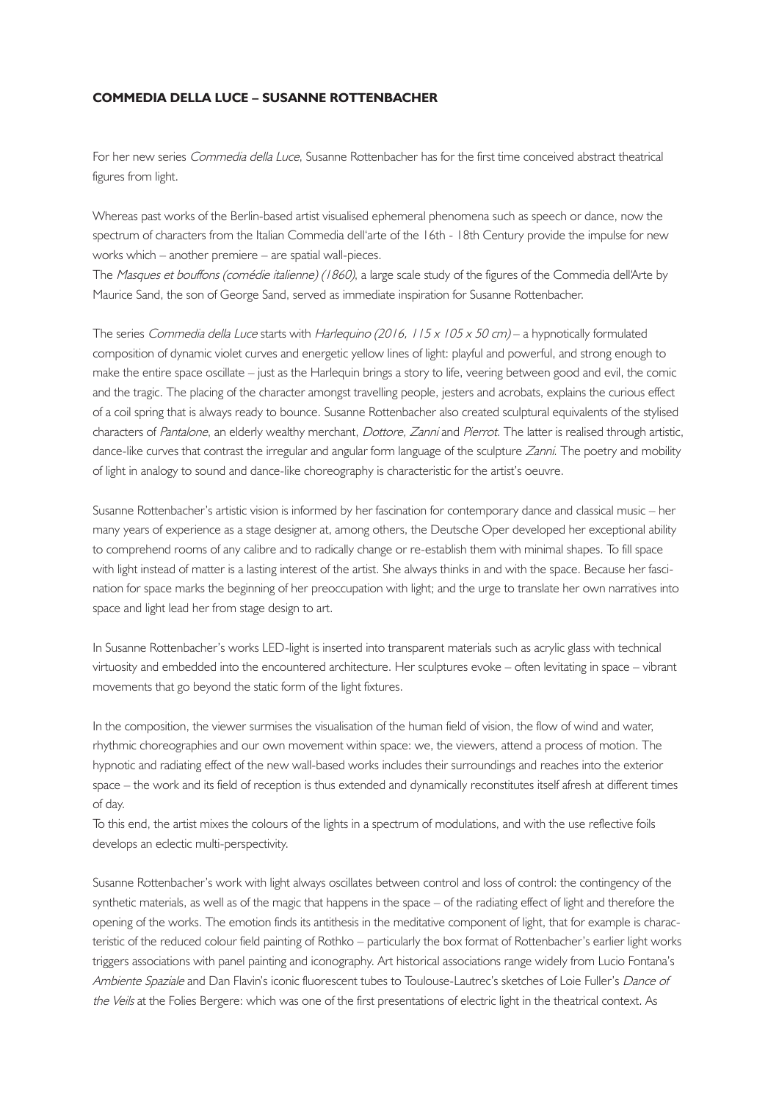## **COMMEDIA DELLA LUCE – SUSANNE ROTTENBACHER**

For her new series Commedia della Luce, Susanne Rottenbacher has for the first time conceived abstract theatrical figures from light.

Whereas past works of the Berlin-based artist visualised ephemeral phenomena such as speech or dance, now the spectrum of characters from the Italian Commedia dell'arte of the 16th - 18th Century provide the impulse for new works which – another premiere – are spatial wall-pieces.

The Masques et bouffons (comédie italienne) (1860), a large scale study of the figures of the Commedia dell'Arte by Maurice Sand, the son of George Sand, served as immediate inspiration for Susanne Rottenbacher.

The series Commedia della Luce starts with Harlequino (2016,  $115 \times 105 \times 50$  cm) – a hypnotically formulated composition of dynamic violet curves and energetic yellow lines of light: playful and powerful, and strong enough to make the entire space oscillate – just as the Harlequin brings a story to life, veering between good and evil, the comic and the tragic. The placing of the character amongst travelling people, jesters and acrobats, explains the curious effect of a coil spring that is always ready to bounce. Susanne Rottenbacher also created sculptural equivalents of the stylised characters of Pantalone, an elderly wealthy merchant, Dottore, Zanni and Pierrot. The latter is realised through artistic, dance-like curves that contrast the irregular and angular form language of the sculpture Zanni. The poetry and mobility of light in analogy to sound and dance-like choreography is characteristic for the artist's oeuvre.

Susanne Rottenbacher's artistic vision is informed by her fascination for contemporary dance and classical music – her many years of experience as a stage designer at, among others, the Deutsche Oper developed her exceptional ability to comprehend rooms of any calibre and to radically change or re-establish them with minimal shapes. To fill space with light instead of matter is a lasting interest of the artist. She always thinks in and with the space. Because her fascination for space marks the beginning of her preoccupation with light; and the urge to translate her own narratives into space and light lead her from stage design to art.

In Susanne Rottenbacher's works LED-light is inserted into transparent materials such as acrylic glass with technical virtuosity and embedded into the encountered architecture. Her sculptures evoke – often levitating in space – vibrant movements that go beyond the static form of the light fixtures.

In the composition, the viewer surmises the visualisation of the human field of vision, the flow of wind and water, rhythmic choreographies and our own movement within space: we, the viewers, attend a process of motion. The hypnotic and radiating effect of the new wall-based works includes their surroundings and reaches into the exterior space – the work and its field of reception is thus extended and dynamically reconstitutes itself afresh at different times of day.

To this end, the artist mixes the colours of the lights in a spectrum of modulations, and with the use reflective foils develops an eclectic multi-perspectivity.

Susanne Rottenbacher's work with light always oscillates between control and loss of control: the contingency of the synthetic materials, as well as of the magic that happens in the space – of the radiating effect of light and therefore the opening of the works. The emotion finds its antithesis in the meditative component of light, that for example is characteristic of the reduced colour field painting of Rothko – particularly the box format of Rottenbacher's earlier light works triggers associations with panel painting and iconography. Art historical associations range widely from Lucio Fontana's Ambiente Spaziale and Dan Flavin's iconic fluorescent tubes to Toulouse-Lautrec's sketches of Loie Fuller's Dance of the Veils at the Folies Bergere: which was one of the first presentations of electric light in the theatrical context. As